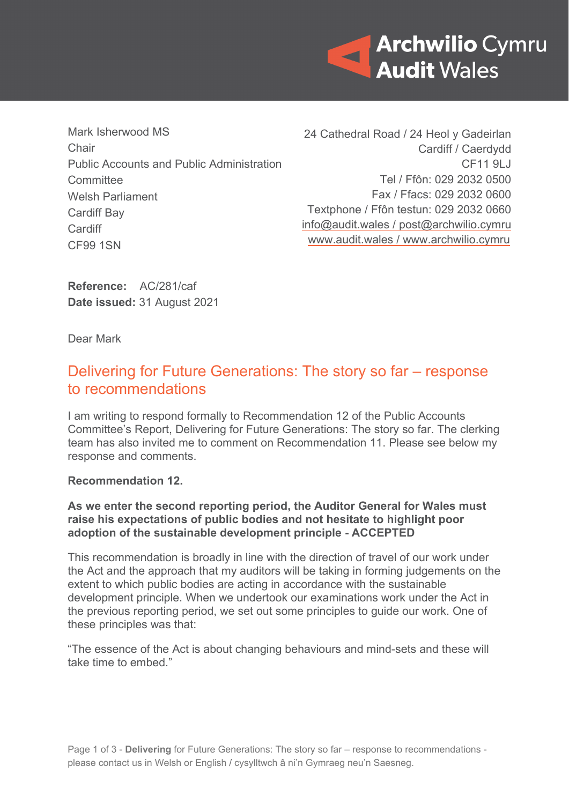

Mark Isherwood MS Chair Public Accounts and Public Administration **Committee** Welsh Parliament Cardiff Bay **Cardiff** CF99 1SN

24 Cathedral Road / 24 Heol y Gadeirlan Cardiff / Caerdydd CF11 9LJ Tel / Ffôn: 029 2032 0500 Fax / Ffacs: 029 2032 0600 Textphone / Ffôn testun: 029 2032 0660 [info@audit.wales](mailto:info@audit.wales) / post@archwilio.cymru [www.audit.wales](http://www.audit.wales/) / [www.archwilio.cymru](http://www.archwilio.cymru/)

**Reference:** AC/281/caf **Date issued:** 31 August 2021

Dear Mark

## Delivering for Future Generations: The story so far – response to recommendations

I am writing to respond formally to Recommendation 12 of the Public Accounts Committee's Report, Delivering for Future Generations: The story so far. The clerking team has also invited me to comment on Recommendation 11. Please see below my response and comments.

## **Recommendation 12.**

## **As we enter the second reporting period, the Auditor General for Wales must raise his expectations of public bodies and not hesitate to highlight poor adoption of the sustainable development principle - ACCEPTED**

This recommendation is broadly in line with the direction of travel of our work under the Act and the approach that my auditors will be taking in forming judgements on the extent to which public bodies are acting in accordance with the sustainable development principle. When we undertook our examinations work under the Act in the previous reporting period, we set out some principles to guide our work. One of these principles was that:

"The essence of the Act is about changing behaviours and mind-sets and these will take time to embed."

Page 1 of 3 - **Delivering** for Future Generations: The story so far – response to recommendations please contact us in Welsh or English / cysylltwch â ni'n Gymraeg neu'n Saesneg.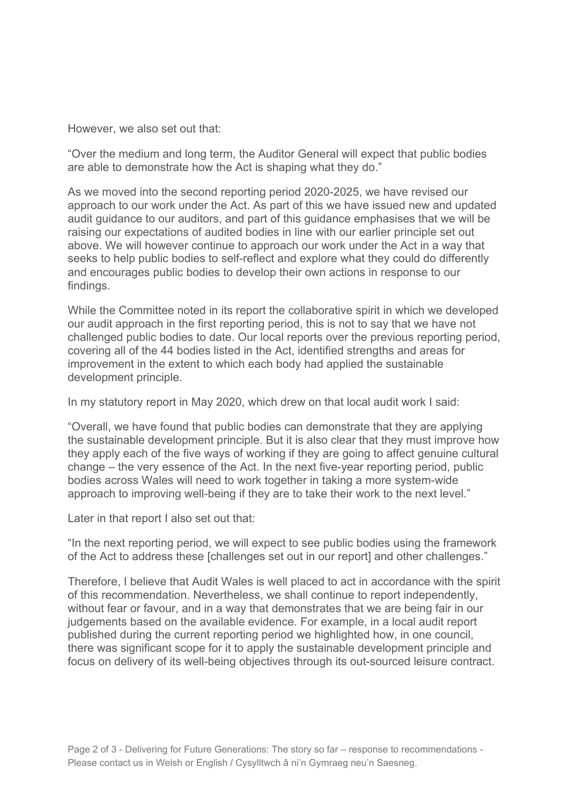However, we also set out that:

"Over the medium and long term, the Auditor General will expect that public bodies are able to demonstrate how the Act is shaping what they do."

As we moved into the second reporting period 2020-2025, we have revised our approach to our work under the Act. As part of this we have issued new and updated audit guidance to our auditors, and part of this guidance emphasises that we will be raising our expectations of audited bodies in line with our earlier principle set out above. We will however continue to approach our work under the Act in a way that seeks to help public bodies to self-reflect and explore what they could do differently and encourages public bodies to develop their own actions in response to our findings.

While the Committee noted in its report the collaborative spirit in which we developed our audit approach in the first reporting period, this is not to say that we have not challenged public bodies to date. Our local reports over the previous reporting period, covering all of the 44 bodies listed in the Act, identified strengths and areas for improvement in the extent to which each body had applied the sustainable development principle.

In my statutory report in May 2020, which drew on that local audit work I said:

"Overall, we have found that public bodies can demonstrate that they are applying the sustainable development principle. But it is also clear that they must improve how they apply each of the five ways of working if they are going to affect genuine cultural change – the very essence of the Act. In the next five-year reporting period, public bodies across Wales will need to work together in taking a more system-wide approach to improving well-being if they are to take their work to the next level."

Later in that report I also set out that:

"In the next reporting period, we will expect to see public bodies using the framework of the Act to address these [challenges set out in our report] and other challenges."

Therefore, I believe that Audit Wales is well placed to act in accordance with the spirit of this recommendation. Nevertheless, we shall continue to report independently, without fear or favour, and in a way that demonstrates that we are being fair in our judgements based on the available evidence. For example, in a local audit report published during the current reporting period we highlighted how, in one council, there was significant scope for it to apply the sustainable development principle and focus on delivery of its well-being objectives through its out-sourced leisure contract.